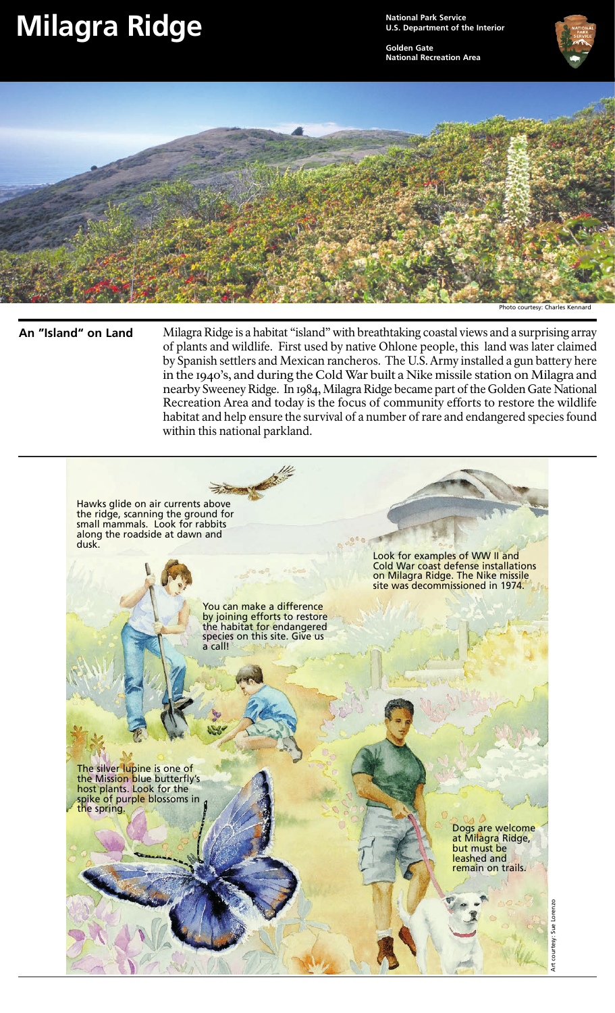## **Milagra Ridge**

**National Park Service U.S. Department of the Interior**

**Golden Gate National Recreation Area**





## **An "Island" on Land**

Milagra Ridge is a habitat "island" with breathtaking coastal views and a surprising array of plants and wildlife. First used by native Ohlone people, this land was later claimed by Spanish settlers and Mexican rancheros. The U.S. Army installed a gun battery here in the 1940's, and during the Cold War built a Nike missile station on Milagra and nearby Sweeney Ridge. In 1984, Milagra Ridge became part of the Golden Gate National Recreation Area and today is the focus of community efforts to restore the wildlife habitat and help ensure the survival of a number of rare and endangered species found within this national parkland.